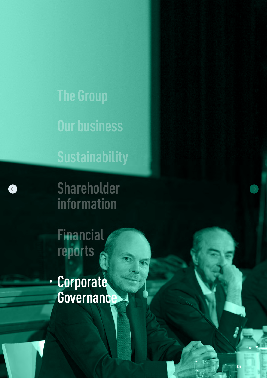<span id="page-0-0"></span>**The Group Our business** 

**Sustainability**

**Shareholder information**

K

**Financial reports**

**Corporate Governance**

**136**

 $\rightarrow$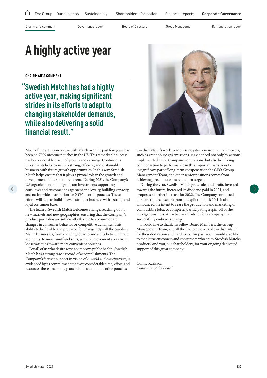<span id="page-1-0"></span>

# **A highly active year**

**CHAIRMAN'S COMMENT**

 $\langle$ 

**"Swedish Match has had a highly active year, making significant strides in its efforts to adapt to changing stakeholder demands, while also delivering a solid financial result."**

Much of the attention on Swedish Match over the past few years has been on *ZYN* nicotine pouches in the US. This remarkable success has been a notable driver of growth and earnings. Continuous investments help to ensure a strong, efficient, and sustainable business, with future growth opportunities. In this way, Swedish Match helps ensure that it plays a pivotal role in the growth and development of the smokefree arena. During 2021, the Company's US organization made significant investments supporting consumer and customer engagement and loyalty, building capacity, and nationwide distribution for *ZYN* nicotine pouches. These efforts will help to build an even stronger business with a strong and loyal consumer base.

The team at Swedish Match welcomes change, reaching out to new markets and new geographies, ensuring that the Company's product portfolios are sufficiently flexible to accommodate changes in consumer behavior or competitive dynamics. This ability to be flexible and prepared for change helps all the Swedish Match businesses, from chewing tobacco and shifts between price segments, to moist snuff and snus, with the movement away from loose varieties toward more convenient pouches.

For all of us who desire ways to improve public health, Swedish Match has a strong track-record of accomplishments. The Company's focus to support its vision of *A world without cigarettes*, is evidenced by its commitment to invest considerable time, effort, and resources these past many years behind snus and nicotine pouches.



Swedish Match's work to address negative environmental impacts, such as greenhouse gas emissions, is evidenced not only by actions implemented in the Company's operations, but also by linking compensation to performance in this important area. A notinsignificant part of long-term compensation the CEO, Group Management Team, and other senior positions comes from achieving greenhouse gas reduction targets.

During the year, Swedish Match grew sales and profit, invested towards the future, increased its dividend paid in 2021, and proposes a further increase for 2022. The Company continued its share repurchase program and split the stock 10:1. It also announced the intent to cease the production and marketing of combustible tobacco completely, anticipating a spin-off of the US cigar business. An active year indeed, for a company that successfully embraces change.

I would like to thank my fellow Board Members, the Group Management Team, and all the fine employees of Swedish Match for their dedication and hard work this past year. I would also like to thank the customers and consumers who enjoy Swedish Match's products, and you, our shareholders, for your ongoing dedicated support of this great company.

Conny Karlsson *Chairman of the Board*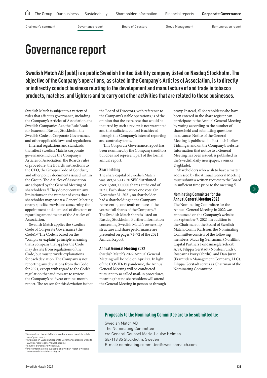<span id="page-2-0"></span>

# **Governance report**

**Swedish Match AB (publ) is a public Swedish limited liability company listed on Nasdaq Stockholm. The objective of the Company's operations, as stated in the Company's Articles of Association, is to directly or indirectly conduct business relating to the development and manufacture of and trade in tobacco products, matches, and lighters and to carry out other activities that are related to these businesses.**

Swedish Match is subject to a variety of rules that affect its governance, including the Company's Articles of Association, the Swedish Companies Act, the Rule Book for Issuers on Nasdaq Stockholm, the Swedish Code of Corporate Governance, and other applicable laws and regulations.

Internal regulations and standards that affect Swedish Match's corporate governance include the Company's Articles of Association, the Board's rules of procedure, the Board's instructions to the CEO, the Group's Code of Conduct, and other policy documents issued within the Group. The Articles of Association are adopted by the General Meeting of shareholders.1) They do not contain any limitations on the number of votes that a shareholder may cast at a General Meeting or any specific provisions concerning the appointment and dismissal of directors or regarding amendments of the Articles of Association.

 $\langle$ 

Swedish Match applies the Swedish Code of Corporate Governance (the Code).2) The Code is based on the "comply or explain" principle, meaning that a company that applies the Code may deviate from regulations of the Code, but must provide explanations for each deviation. The Company is not reporting any deviations from the Code for 2021, except with regard to the Code's regulation that auditors are to review the Company's half year or nine-month report. The reason for this deviation is that

the Board of Directors, with reference to the Company's stable operations, is of the opinion that the extra cost that would be incurred by such a review is not warranted and that sufficient control is achieved through the Company's internal reporting and control systems.

This Corporate Governance report has been examined by the Company's auditors but does not represent part of the formal annual report.

### **Shareholding**

The share capital of Swedish Match was 389,515,417.20 SEK distributed over 1,580,000,000 shares at the end of 2021. Each share carries one vote. On December 31, 2021, no shareholder had a shareholding in the Company representing one tenth or more of the votes of all shares of the Company.3) The Swedish Match share is listed on Nasdaq Stockholm. Further information concerning Swedish Match's ownership structure and share performance are presented on pages 71–72 of the 2021 Annual Report.

### **Annual General Meeting 2022**

Swedish Match's 2022 Annual General Meeting will be held on April 27. In light of the COVID-19 pandemic, the Annual General Meeting will be conducted pursuant to so called mail-in procedures, meaning that no shareholders will attend the General Meeting in person or through proxy. Instead, all shareholders who have been entered in the share register can participate in the Annual General Meeting by voting according to the number of shares held and submitting questions in advance. Notice of the General Meeting is published in Post- och Inrikes Tidningar and on the Company's website. Information that notice to a General Meeting has been issued, is published in the Swedish daily newspaper, Svenska Dagbladet.

Shareholders who wish to have a matter addressed by the Annual General Meeting must submit a written request to the Board in sufficient time prior to the meeting.<sup>4)</sup>

### **Nominating Committee for the Annual General Meeting 2022**

The Nominating Committee for the Annual General Meeting in 2022 was announced on the Company's website on September 7, 2021. In addition to the Chairman of the Board of Swedish Match, Conny Karlsson, the Nominating Committee consists of the following members: Mads Eg Gensmann (Nordflint Capital Partners Fondsmaeglerselskab A/S), Filippa Gerstädt (Nordea Funds), Roseanna Ivory (abrdn), and Dan Juran (Framtiden Management Company, LLC). Filippa Gerstädt serves as Chairman of the Nominating Committee.

### **Proposals to the Nominating Committee are to be submitted to:**

Swedish Match AB

- The Nominating Committee
- c/o General Counsel Marie-Louise Heiman
- SE-118 85 Stockholm, Sweden
- E-mail: nominating.committee@swedishmatch.com

com/governance.

<sup>1)</sup> Available on Swedish Match's website www.swedishmatch. 2) Available on Swedish Corporate Governance Board's website www.corporategovernanceboard.se. 3) Source: Euroclear Sweden AB.

<sup>4)</sup> More information is available on Swedish Match's website www.swedishmatch.com/agm.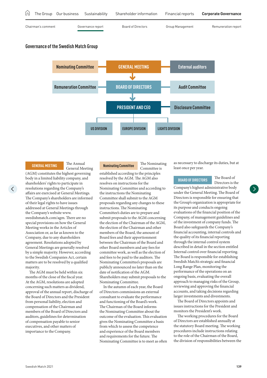## **Governance of the Swedish Match Group GENERAL MEETING External auditors BOARD OF DIRECTORS PRESIDENT AND CEO US DIVISION Nominating Committee Audit Committee EUROPE DIVISION LIGHTS DIVISION Remuneration Committee Disclosure Committee** [Chairman's comment](#page-1-0) [Governance report](#page-2-0) [Board of Directors](#page-9-0) [Group Management](#page-11-0) Remuneration report The Group Our business Sustainability Shareholder information Financial reports **[Corporate Governance](#page-0-0)**

### **GENERAL MEETING** The Annual

General Meeting

(AGM) constitutes the highest governing body in a limited liability company, and shareholders' rights to participate in resolutions regarding the Company's affairs are exercised at General Meetings. The Company's shareholders are informed of their legal rights to have issues addressed at General Meetings through the Company's website www. swedishmatch.com/agm. There are no special provisions on how the General Meeting works in the Articles of Association or, as far as known to the Company, due to any shareholders agreement. Resolutions adopted by General Meetings are generally resolved by a simple majority. However, according to the Swedish Companies Act, certain matters are to be resolved by a qualified majority.

The AGM must be held within six months of the close of the fiscal year. At the AGM, resolutions are adopted concerning such matters as dividend, approval of the annual report, discharge of the Board of Directors and the President from personal liability, election and compensation of the Chairman and members of the Board of Directors and auditors, guidelines for determination of compensation payable to senior executives, and other matters of importance to the Company.

**Nominating Committee** The Nominating

Committee is established according to the principles resolved by the AGM. The AGM also resolves on instructions for the Nominating Committee and according to the instructions the Nominating Committee shall submit to the AGM proposals regarding any changes to these instructions. The Nominating Committee's duties are to prepare and submit proposals to the AGM concerning the election of the Chairman of the AGM, the election of the Chairman and other members of the Board, the amount of Board fees and their apportionment between the Chairman of the Board and other Board members and any fees for committee work, as well as the election of and fees to be paid to the auditors. The Nominating Committee's proposals are publicly announced no later than on the date of notification of the AGM. Shareholders may submit proposals to the Nominating Committee.

In the autumn of each year, the Board of Directors commissions an external consultant to evaluate the performance and functioning of the Board's work. The Chairman of the Board informs the Nominating Committee about the outcome of the evaluation. This evaluation gives the Nominating Committee a basis from which to assess the competence and experience of the Board members and requirements for the future. The Nominating Committee is to meet as often as necessary to discharge its duties, but at least once per year.

### **BOARD OF DIRECTORS** The Board of

Directors is the Company's highest administrative body under the General Meeting. The Board of Directors is responsible for ensuring that the Group's organization is appropriate for its purpose and conducts ongoing evaluations of the financial position of the Company, of management guidelines and of the investment of company funds. The Board also safeguards the Company's financial accounting, internal controls and the quality of its financial reporting through the internal control system described in detail in the section entitled Internal control over financial reporting. The Board is responsible for establishing Swedish Match's strategic and financial Long Range Plan, monitoring the performance of the operations on an ongoing basis, evaluating the overall approach to managing risks of the Group, reviewing and approving the financial accounts, and taking decisions regarding larger investments and divestments.

The Board of Directors appoints and issues instructions for the President and monitors the President's work.

The working procedures for the Board of Directors are established annually at the statutory Board meeting. The working procedures include instructions relating to the role of the Chairman of the Board, the division of responsibilities between the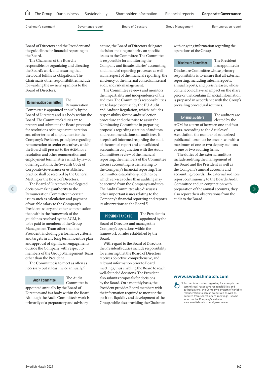|                    |                   | [n] The Group Our business Sustainability Shareholder information | Financial reports | <b>Corporate Governance</b> |
|--------------------|-------------------|-------------------------------------------------------------------|-------------------|-----------------------------|
| Chairman's comment | Governance report | Board of Directors                                                | Group Management  | Remuneration report         |

Board of Directors and the President and the guidelines for financial reporting to

the Board. The Chairman of the Board is responsible for organizing and directing the Board's work and ensuring that the Board fulfills its obligations. The Chairman's other responsibilities include forwarding the owners' opinions to the Board of Directors.

Remuneration

### **Remuneration Committee** The

Committee is appointed annually by the Board of Directors and is a body within the Board. The Committee's duties are to prepare and submit to the Board proposals for resolutions relating to remuneration and other terms of employment for the Company's President, principles regarding remuneration to senior executives, which the Board will present to the AGM for a resolution and other remuneration and employment term matters which by law or other regulations, the Swedish Code of Corporate Governance or established practice shall be resolved by the General Meeting or the Board of Directors.

The Board of Directors has delegated decision-making authority to the Remuneration Committee in certain issues such as calculation and payment of variable salary to the Company's President, salary and other compensation that, within the framework of the guidelines resolved by the AGM, is to be paid to members of the Group Management Team other than the President, including performance criteria, and targets in any long term incentive plan and approval of significant engagements outside the Company with respect to members of the Group Management Team other than the President.

The Committee is to meet as often as necessary but at least twice annually.1)

### **Audit Committee** The Audit

Committee is

appointed annually by the Board of Directors and is a body within the Board. Although the Audit Committee's work is primarily of a preparatory and advisory

nature, the Board of Directors delegates decision-making authority on specific issues to the Committee. The Committee is responsible for monitoring the Company and its subsidiaries' accounting and financial reporting processes as well as, in respect of the financial reporting, the efficiency of the internal controls, internal audit and risk management.

The Committee reviews and monitors the impartiality and independence of the auditors. The Committee's responsibilities are to large extent set by the EU Audit and Auditor Regulation, which includes responsibility for the audit selection procedure and otherwise to assist the Nominating Committee in preparing proposals regarding election of auditors and recommendations on audit fees. It keeps itself informed regarding the audit of the annual report and consolidated accounts. In conjunction with the Audit Committee's review of the financial reporting, the members of the Committee discuss accounting issues relating to the Company's financial reporting. The Committee establishes guidelines by which services other than auditing may be secured from the Company's auditors. The Audit Committee also discusses other important issues relating to the Company's financial reporting and reports its observations to the Board.1)

### **PRESIDENT AND CEO** The President is

appointed by the

Board of Directors and manages the Company's operations within the framework of rules established by the Board.

With regard to the Board of Directors, the President's duties include responsibility for ensuring that the Board of Directors receives objective, comprehensive, and relevant information prior to Board meetings, thus enabling the Board to reach well-founded decisions. The President also submits proposals for decisions by the Board. On a monthly basis, the President provides Board members with the information required to monitor the position, liquidity and development of the Group, while also providing the Chairman

with ongoing information regarding the operations of the Group.

### **Disclosure Committee** The President

has appointed a

Disclosure Committee whose primary responsibility is to ensure that all external reporting, including interim reports, annual reports, and press releases, whose content could have an impact on the share price or that contains financial information, is prepared in accordance with the Group's prevailing procedural routines.

**External auditors** The auditors are elected by the

AGM for a term of between one and four years. According to the Articles of Association, the number of authorized public auditors must be one or two with a maximum of one or two deputy auditors or one or two auditing firms.

The duties of the external auditors include auditing the management of the Board and the President as well as the Company's annual accounts and accounting records. The external auditors report continuously to the Board's Audit Committee and, in conjunction with preparation of the annual accounts, they also report their observations from the audit to the Board.

### **[www.swedishmatch.com](www.swedishmatch.com/governance)**

1) Further information regarding for example the committees' respective responsibilities and authorizations, the Company's system of variable remuneration to senior executives as well as minutes from shareholders' meetings, is to be found on the Company's website, www.swedishmatch.com/governance.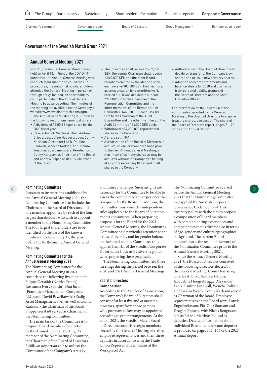| LпJ |                    | The Group Our business | Sustainability    | Shareholder information | Financial reports | <b>Corporate Governance</b> |
|-----|--------------------|------------------------|-------------------|-------------------------|-------------------|-----------------------------|
|     | Chairman's comment |                        | Governance report | Board of Directors      | Group Management  | Remuneration report         |

### **Governance of the Swedish Match Group 2021**

### **Annual General Meeting 2021**

In 2021, the Annual General Meeting was held on April 13. In light of the COVID-19 pandemic, the Annual General Meeting was conducted pursuant to so called mail-in procedures, meaning that no shareholders attended the General Meeting in person or through proxy. Instead, all shareholders could participate in the Annual General Meeting by advance voting. The minutes of the meeting are available on the Company's website www.swedishmatch.com/agm.

The Annual General Meeting 2021 passed the following resolutions, amongst others:

- A dividend of 15.00 SEK per share for the 2020 fiscal year.
- Re-election of Charles A. Blixt, Andrew Cripps, Jacqueline Hoogerbrugge, Conny Karlsson, Alexander Lacik, Pauline Lindwall, Wenche Rolfsen, and Joakim Westh as Board members. Re-election of Conny Karlsson as Chairman of the Board and Andrew Cripps as deputy Chairman of the Board.
- The Chairman shall receive 2,252,000 SEK, the deputy Chairman shall receive 1,040,000 SEK and the other Board members elected by the Meeting shall each receive 900,000 SEK. Furthermore, as compensation for committee work carried out, it was decided to allocate 291,000 SEK to the Chairman of the Remuneration Committee and the other members of the Remuneration Committee 146,000 SEK each, 364,000 SEK to the Chairman of the Audit Committee and the other members of the Audit Committee 156,000 SEK each.
- Withdrawal of 4,200,000 repurchased shares in the Company.
- A share split 10:1.
- Authorization of the Board of Directors to acquire, on one or more occasions prior to the next Annual General Meeting, a maximum of as many shares as may be acquired without the Company's holding at any time exceeding 10 percent of all shares in the Company.
- Authorization of the Board of Directors to decide on transfer of the Company's own shares and to issue new ordinary shares.
- Adoption of income statements and balance sheets for 2020 and discharge from personal liability granted of the Board of Directors and the Chief Executive Officer.

For information on the utilization of the authorization granted by the General Meeting to the Board of Directors to acquire treasury shares, see section The share of the Board of Directors report, pages 71–72 of the 2021 Annual Report.

### **Nominating Committee**

Pursuant to instructions established by the Annual General Meeting 2020, the Nominating Committee is to include the Chairman of the Board of Directors and one member appointed by each of the four largest shareholders who wish to appoint a member to the Nominating Committee. The four largest shareholders are to be identified on the basis of the known numbers of votes on July 31, the year before the forthcoming Annual General Meeting.

### **Nominating Committee for the Annual General Meeting 2021**

The Nominating Committee for the Annual General Meeting in 2021 comprised the following five members: Filippa Gerstädt (Nordea Funds), Roseanna Ivory (abrdn), Dan Juran (Framtiden Management Company, LLC), and David Pawelkowski (Zadig Asset Management S.A.) as well as Conny Karlsson (the Chairman of the Board). Filippa Gerstädt served as Chairman of the Nominating Committee.

The main task of the Committee is to propose Board members for election by the Annual General Meeting. As member of the Nominating Committee, the Chairman of the Board of Directors fulfills an important role to inform the Committee of the Company's strategy

and future challenges. Such insights are necessary for the Committee to be able to assess the competence and experience that is required by the Board. In addition, the Committee must consider independence rules applicable to the Board of Directors and its committees. When preparing proposals for the Board for the 2021 Annual General Meeting, the Nominating Committee paid particular attention to the issues of diversity and for gender balance on the board and the Committee thus applied Item 4.1 of the Swedish Corporate Governance Code as its diversity policy when preparing these proposals.

The Nominating Committee held three meetings during the period between the 2020 and 2021 Annual General Meetings.

### **Board of Directors**

### **Composition**

According to the Articles of Association, the Company's Board of Directors shall consist of at least five and at most ten directors, apart from those persons who, pursuant to law, may be appointed according to other arrangements. At the end of 2021, the Swedish Match Board of Directors comprised eight members elected by the General Meeting plus three employee representatives and their three deputies in accordance with the Trade Union Representatives (Status at the Workplace) Act.

The Nominating Committee advised before the Annual General Meeting 2021 that the Nominating Committee had applied the Swedish Corporate Governance Code, section 4.1, as diversity policy with the aim to propose a composition of Board members with complementing experiences and competencies that is diverse also in terms of age, gender and cultural/geographical background. The current Board composition is the result of the work of the Nomination Committee prior to the Annual General Meeting 2021.

Since the Annual General Meeting 2021, the Board of Directors consisted of the following directors elected by the General Meeting: Conny Karlsson, Charles A. Blixt, Andrew Cripps, Jacqueline Hoogerbrugge, Alexander Lacik, Pauline Lindwall, Wenche Rolfsen, and Joakim Westh. Conny Karlsson served as Chairman of the Board. Employee representatives on the Board were, Patrik Engelbrektsson, Pär-Ola Olausson and Dragan Popovic, with Niclas Bengtsson, Niclas Ed and Matthias Eklund as deputies. Detailed information about individual Board members and deputies is provided on pages 145–146 of the 2021 Annual Report.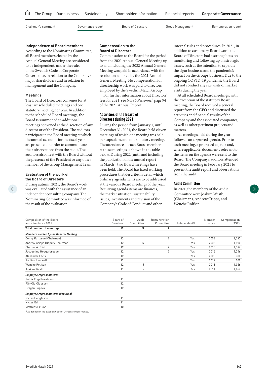|                    |                   | In The Group Our business Sustainability Shareholder information | Financial reports | <b>Corporate Governance</b> |
|--------------------|-------------------|------------------------------------------------------------------|-------------------|-----------------------------|
| Chairman's comment | Governance report | Board of Directors                                               | Group Management  | Remuneration report         |

### **Independence of Board members**

According to the Nominating Committee, all Board members elected by the Annual General Meeting are considered to be independent, under the rules of the Swedish Code of Corporate Governance, in relation to the Company's major shareholders and in relation to management and the Company.

### **Meetings**

The Board of Directors convenes for at least six scheduled meetings and one statutory meeting per year. In addition to the scheduled Board meetings, the Board is summoned to additional meetings convened at the discretion of any director or of the President. The auditors participate in the Board meeting at which the annual accounts for the fiscal year are presented in order to communicate their observations from the audit. The auditors also meet with the Board without the presence of the President or any other member of the Group Management Team.

### **Evaluation of the work of the Board of Directors**

During autumn 2021, the Board's work was evaluated with the assistance of an independent consulting company. The Nominating Committee was informed of the result of the evaluation.

### **Compensation to the Board of Directors**

Compensation to the Board for the period from the 2021 Annual General Meeting up to and including the 2022 Annual General Meeting was paid in accordance with the resolution adopted by the 2021 Annual General Meeting. No compensation for directorship work was paid to directors employed by the Swedish Match Group.

For further information about Directors' fees for 2021, see *Note 5 Personnel*, page 94 of the 2021 Annual Report.

### **Activities of the Board of Directors during 2021**

During the period from January 1, until December 31, 2021, the Board held eleven meetings of which one meeting was held per capsulam, and one statutory meeting. The attendance of each Board member at these meetings is shown in the table below. During 2022 (until and including the publication of the annual report in March), two Board meetings have been held. The Board has fixed working procedures that describe in detail which ordinary agenda items are to be addressed at the various Board meetings of the year. Recurring agenda items are finances, the market situation, sustainability issues, investments and revision of the Company's Code of Conduct and other

internal rules and procedures. In 2021, in addition to customary Board work, the Board of Directors had a strong focus on monitoring and following up on strategic issues, such as the intention to separate the cigar business, and the pandemic's impact on the Group's business. Due to the ongoing COVID-19 pandemic the Board did not conduct any site visits or market visits during the year.

At all scheduled Board meetings, with the exception of the statutory Board meeting, the Board received a general report from the CEO and discussed the activities and financial results of the Company and the associated companies, as well as other pertinent projects and matters.

All meetings held during the year followed an approved agenda. Prior to each meeting, a proposed agenda and, where applicable, documents relevant to the items on the agenda were sent to the Board. The Company's auditors attended the Board meeting in February 2021 to present the audit report and observations from the audit.

### **Audit Committee**

In 2021, the members of the Audit Committee were Joakim Westh, (Chairman), Andrew Cripps, and Wenche Rolfsen.

| Composition of the Board<br>and attendance 2021         | Board of<br>Directors | Audit<br>Committee | Remuneration<br>Committee | Independent <sup>1)</sup> | Member<br>since | Compensation,<br>TSEK |
|---------------------------------------------------------|-----------------------|--------------------|---------------------------|---------------------------|-----------------|-----------------------|
| <b>Total number of meetings</b>                         | 12                    | 5                  | $\overline{2}$            |                           |                 |                       |
| <b>Members elected by the General Meeting</b>           |                       |                    |                           |                           |                 |                       |
| Conny Karlsson (Chairman)                               | 12                    |                    | 2                         | Yes                       | 2006            | 2,543                 |
| Andrew Cripps (Deputy Chairman)                         | 12                    | 5                  |                           | Yes                       | 2006            | 1,196                 |
| Charles A. Blixt                                        | 12                    |                    | $\overline{2}$            | Yes                       | 2015            | 1,046                 |
| Jacqueline Hoogerbrugge                                 | 12                    |                    | 2                         | Yes                       | 2015            | 1,046                 |
| Alexander Lacik                                         | 12                    |                    |                           | Yes                       | 2020            | 900                   |
| Pauline Lindwall                                        | 12                    |                    |                           | Yes                       | 2017            | 900                   |
| Wenche Rolfsen                                          | 12                    | 5                  |                           | Yes                       | 2013            | 1,056                 |
| Joakim Westh                                            | 11                    | 5                  |                           | Yes                       | 2011            | 1,264                 |
| <b>Employee representatives</b>                         |                       |                    |                           |                           |                 |                       |
| Patrik Engelbrektsson                                   | 11                    |                    |                           |                           |                 |                       |
| Pär-Ola Olausson                                        | 12                    |                    |                           |                           |                 |                       |
| Dragan Popovic                                          | 12                    |                    |                           |                           |                 |                       |
| <b>Employee representatives (deputies)</b>              |                       |                    |                           |                           |                 |                       |
| Niclas Bengtsson                                        | 11                    |                    |                           |                           |                 |                       |
| Niclas Ed                                               | 11                    |                    |                           |                           |                 |                       |
| Matthias Eklund                                         | 10                    |                    |                           |                           |                 |                       |
| 1) An defined in the Comdish Cede of Companie Companies |                       |                    |                           |                           |                 |                       |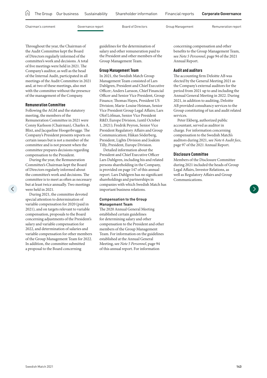|                    |                   | In The Group Our business Sustainability Shareholder information | Financial reports | <b>Corporate Governance</b> |
|--------------------|-------------------|------------------------------------------------------------------|-------------------|-----------------------------|
| Chairman's comment | Governance report | Board of Directors                                               | Group Management  | Remuneration report         |

Throughout the year, the Chairman of the Audit Committee kept the Board of Directors regularly informed of the committee's work and decisions. A total of five meetings were held in 2021. The Company's auditor, as well as the head of the Internal Audit, participated in all meetings of the Audit Committee in 2021 and, at two of these meetings, also met with the committee without the presence of the management of the Company.

### **Remuneration Committee**

Following the AGM and the statutory meeting, the members of the Remuneration Committee in 2021 were Conny Karlsson (Chairman), Charles A. Blixt, and Jacqueline Hoogerbrugge. The Company's President presents reports on certain issues but is not a member of the committee and is not present when the committee prepares decisions regarding compensation to the President.

During the year, the Remuneration Committee's Chairman kept the Board of Directors regularly informed about the committee's work and decisions. The committee is to meet as often as necessary but at least twice annually. Two meetings were held in 2021.

During 2021, the committee devoted special attention to determination of variable compensation for 2020 (paid in 2021), and on targets relevant to variable compensation, proposals to the Board concerning adjustments of the President's salary and variable compensation for 2022, and determination of salaries and variable compensation for other members of the Group Management Team for 2022. In addition, the committee submitted a proposal to the Board concerning

guidelines for the determination of salary and other remuneration paid to the President and other members of the Group Management Team.

### **Group Management Team**

In 2021, the Swedish Match Group Management Team consisted of Lars Dahlgren, President and Chief Executive Officer; Anders Larsson, Chief Financial Officer and Senior Vice President, Group Finance; Thomas Hayes, President US Division; Marie-Louise Heiman, Senior Vice President Group Legal Affairs; Lars Olof Löfman, Senior Vice President R&D, Europe Division, (until October 1, 2021); Fredrik Peyron, Senior Vice President Regulatory Affairs and Group Communication; Håkan Söderberg, President, Lights Division and Joakim Tilly, President, Europe Division.

Detailed information about the President and Chief Executive Officer Lars Dahlgren, including his and related persons shareholding in the Company, is provided on page 147 of this annual report. Lars Dahlgren has no significant shareholdings and partnerships in companies with which Swedish Match has important business relations.

### **Compensation to the Group Management Team**

The 2020 Annual General Meeting established certain guidelines for determining salary and other compensation to the President and other members of the Group Management Team. For information on the guidelines established at the Annual General Meeting, see *Note 5 Personnel*, page 94 of this annual report. For information

concerning compensation and other benefits to the Group Management Team, see *Note 5 Personnel*, page 94 of the 2021 Annual Report.

### **Audit and auditors**

The accounting firm Deloitte AB was elected by the General Meeting 2021 as the Company's external auditors for the period from 2021 up to and including the Annual General Meeting in 2022. During 2021, in addition to auditing, Deloitte AB provided consultancy services to the Group constituting of tax and audit related services.

Peter Ekberg, authorized public accountant, served as auditor in charge. For information concerning compensation to the Swedish Match's auditors during 2021, see *Note 6 Audit fees*, page 97 of the 2021 Annual Report.

### **Disclosure Committee**

Members of the Disclosure Committee during 2021 included the heads of Group Legal Affairs, Investor Relations, as well as Regulatory Affairs and Group Communications.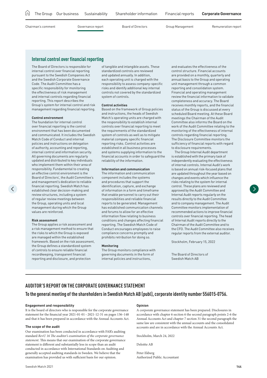|  |  | In The Group Our business Sustainability Shareholder information Financial reports Corporate Governance |  |
|--|--|---------------------------------------------------------------------------------------------------------|--|
|  |  |                                                                                                         |  |

### **Internal control over financial reporting**

The Board of Directors is responsible for internal control over financial reporting pursuant to the Swedish Companies Act and the Swedish Corporate Governance Code. The Audit Committee has a specific responsibility for monitoring the effectiveness of risk management and internal controls regarding financial reporting. This report describes the Group's system for internal control and risk management regarding financial reporting.

### **Control environment**

The foundation for internal control over financial reporting is the control environment that has been documented and communicated. It includes the Swedish Match Code of Conduct and internal policies and instructions on delegation of authority, accounting and reporting, internal control and information security. All governing documents are regularly updated and distributed to key individuals who implement them within their area of responsibility. Fundamental to creating an effective control environment is the Board of Directors', the Audit Committee's and management's dedication to reliable financial reporting. Swedish Match has established clear decision-making and review structures, including a system of regular review meetings between the Group, operating units and local management during which the Group values are reinforced.

### **Risk assessment**

The Group applies a risk assessment and a risk management method to ensure that the risks to which the Group is exposed are managed within the established framework. Based on the risk assessment, the Group defines a standardized system of controls to ensure reliable financial recordkeeping, transparent financial reporting and disclosure, and protection

of tangible and intangible assets. These standardized controls are reviewed and updated annually. In addition, each operating unit is charged with the responsibility to assess company-specific risks and identify additional key internal controls not covered by the standardized system of controls.

### **Control activities**

Based on the framework of Group policies and instructions, the heads of Swedish Match's operating units are charged with the responsibility to establish internal controls over financial reporting to meet the requirements of the standardized system of controls as well as to mitigate material company specific financial reporting risks. Control activities are established in all business processes and systems supplying information to the financial accounts in order to safeguard the reliability of the information.

### **Information and communication**

The information and communication component includes the systems and procedures that support the identification, capture, and exchange of information in a form and timeframe that enable personnel to carry out their responsibilities and reliable financial reports to be generated. Management has established communication channels and forums to allow for an effective information flow relating to business conditions and changes affecting financial reporting. The Swedish Match Code of Conduct encourages employees to raise compliance concerns promptly and prohibits retribution for doing so.

### **Monitoring**

The Group monitors compliance with governing documents in the form of internal policies and instructions,

and evaluates the effectiveness of the control structure. Financial accounts are provided on a monthly, quarterly and annual basis to the Group and operating unit management through a common reporting and consolidation system. Financial and operating management review the financial information to validate completeness and accuracy. The Board receives monthly reports, and the financial status of the Group is discussed at every scheduled Board meeting. At these Board meetings the Chairman of the Audit Committee also informs the Board on the work of the Audit Committee relating to the monitoring of the effectiveness of internal controls regarding financial reporting. The Disclosure Committee monitors the sufficiency of financial reports with regard to disclosure requirements.

The Group Internal Audit department is established with the primary task of independently evaluating the effectiveness of internal controls. Internal Audit's work is based on annual risk-focused plans that are updated throughout the year based on changes and events which influence the risks relating to the system for internal control. These plans are reviewed and approved by the Audit Committee and Internal Audit reports regularly on the results directly to the Audit Committee and to company management. The Audit Committee monitors implementation of recommended actions to improve financial controls over financial reporting. The head of Internal Audit reports directly to the Chairman of the Audit Committee and to the CFO. The Audit Committee also receives regular reports from the external auditor.

Stockholm, February 15, 2022

The Board of Directors of Swedish Match AB

### **AUDITOR'S REPORT ON THE CORPORATE GOVERNANCE STATEMENT**

### **To the general meeting of the shareholders in Swedish Match AB (publ), corporate identity number 556015-0756.**

### **Engagement and responsibility**

It is the board of directors who is responsible for the corporate governance statement for the financial year 2021-01-01–2021-12-31 on pages 136–148 and that it has been prepared in accordance with the Annual Accounts Act.

### **The scope of the audit**

Our examination has been conducted in accordance with FAR's auditing standard *RevU 16 The auditor's examination of the corporate governance statement*. This means that our examination of the corporate governance statement is different and substantially less in scope than an audit conducted in accordance with International Standards on Auditing and generally accepted auditing standards in Sweden. We believe that the examination has provided us with sufficient basis for our opinion.

A corporate governance statement has been prepared. Disclosures in accordance with chapter 6 section 6 the second paragraph points 2-6 the Annual Accounts Act and chapter 7 section 31 the second paragraph the same law are consistent with the annual accounts and the consolidated accounts and are in accordance with the Annual Accounts Act.

Stockholm, March 24, 2022

Deloitte AB

Peter Ekberg Authorized Public Accountant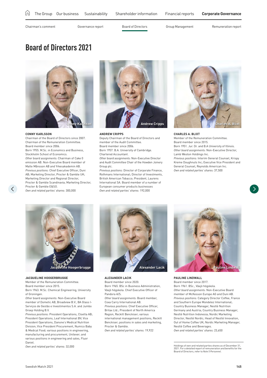<span id="page-9-0"></span>

## **Board of Directors 2021**



### **CONNY KARLSSON**

 $\langle$ 

Chairman of the Board of Directors since 2007. Chairman of the Remuneration Committee. Board member since 2006. Born 1955. M.Sc. in Economics and Business, Stockholm School of Economics. *Other board assignments:* Chairman of Cake 0 emission AB. Non-Executive Board member of Malte Månsson AB and Yrkesakademin AB. *Previous positions:* Chief Executive Officer, Duni AB; Marketing Director, Procter & Gamble UK; Marketing Director and Regional Director, Procter & Gamble Scandinavia; Marketing Director, Procter & Gamble E&SO. *Own and related parties' shares:* 300,000



### **ANDREW CRIPPS**

Deputy Chairman of the Board of Directors and member of the Audit Committee. Board member since 2006. Born 1957. B.A. University of Cambridge. Chartered Accountant.

*Other board assignments:* Non-Executive Director and Audit Committee Chair of the Howden Joinery Group plc.

*Previous positions:* Director of Corporate Finance, Rothmans International; Director of Investments, British American Tobacco; President, Laurens International SA. Board member of a number of European consumer products businesses *Own and related parties' shares:* 192,000



### **CHARLES A. BLIXT**

Member of the Remuneration Committee. Board member since 2015. Born 1951. Jur. Dr. and B.A University of Illinois. *Other board assignments:* Non-Executive Director, Lamb Weston Holdings Inc. *Previous positions:* Interim General Counsel, Krispy Kreme Doughnuts Inc; Executive Vice President and General Counsel, Reynolds American Inc. *Own and related parties' shares:* 37,500



### **JACQUELINE HOOGERBRUGGE**

Member of the Remuneration Committee. Board member since 2015. Born 1963. M.Sc. Chemical Engineering, University

of Groningen. *Other board assignments:* Non-Executive Board

member of Dometic AB, Broadview B.V., BA Glass I-Serviços de Gestão e Investimentos S.A. and Jumbo Groep Holding B.V.

*Previous positions:* President Operations, Cloetta AB; President Operations, Leaf International BV; Vice President Operations, Danone's Medical Nutrition Division; Vice President Procurement, Numico Baby & Medical Food; various positions in engineering, manufacturing and procurement, Unilever; and various positions in engineering and sales, Fluor Daniel.

*Own and related parties' shares:* 32,000



### **ALEXANDER LACIK**

Board member since 2020.

Born 1965. BSc in Business Administration, Växjö högskola. Chief Executive Officer of Pandora A/S.

*Other board assignments:* Board member, Coxa Carry International AB. *Previous positions:* Chief Executive Officer, Britax Ltd.; President of North America Region, Reckitt Benckiser; various international management positions, Reckitt Benckiser; positions in sales and marketing, Procter & Gamble.

*Own and related parties' shares:* 19,922



### **PAULINE LINDWALL**

Board member since 2017. Born 1961. BSc., Växjö högskola. *Other board assignments:* Non-Executive Board member of McKesson Europe AG and Duni AB. *Previous positions:* Category Director Coffee, France and Southern Europe Mondelez International; Country Business Manager, Nestlé Nutrition Germany and Austria; Country Business Manager, Nestlé Nutrition Indonesia; Nordic Marketing Director, Nestlé Nordic; Head of Nestlé Innovation, Out of Home Coffee UK; Nordic Marketing Manager, Nestlé Coffee and Beverages. *Own and related parties' shares:* 23,650

Holdings of own and related parties shares as of December 31, 2021. For a detailed report of remuneration and benefits for the Board of Directors, refer to *Note 5 Personnel*.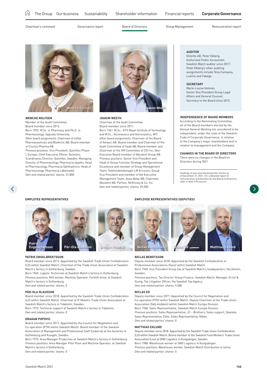

**WENCHE ROLFSEN** Member of the Audit Committee. Board member since 2013. Born 1952. M.Sc. in Pharmacy and Ph.D. in Pharmacology, Uppsala University. *Other board assignments:* Chairman of InDex Pharmaceuticals and BioArctic AB; Board member of Cinclus Pharma AB. *Previous positions:* Vice President, Quintiles Phase I, Europe; Chief Executive Officer, Quintiles, Scandinavia; Director, Quintiles, Sweden; Managing

Director of Pharmacology, Pharmacia Upjohn; Head of Pharmacology, Pharmacia Ophthalmics; Head of Pharmacology, Pharmacia Läkemedel. *Own and related parties' shares:* 31,800



### **JOAKIM WESTH**

Chairman of the Audit Committee. Board member since 2011. Born 1961. M.Sc., KTH Royal Institute of Technology and M.Sc., Aeronautics and Astronautics, MIT. *Other board assignments:* Chairman of the Board of Amexci AB. Board member and Chairman of the Audit Committee of Saab AB; Board member and Chairman of the HR Committee of CGI Inc; Non-Executive Board member of Absolent Group AB. *Previous positions:* Senior Vice President and Head of Group Function Strategy and Operational Excellence and member of Group Management Team, Telefonaktiebolaget LM Ericsson; Group Vice President and member of the Executive Management Team, Assa Abloy AB; Chairman, Absolent AB; Partner, McKinsey & Co. Inc. *Own and related parties' shares:* 25,000

### **AUDITOR**

Deloitte AB, Peter Ekberg, Authorized Public Accountant. Swedish Match auditor since 2017. Peter Ekberg's other auditing assignments include Telia Company, Loomis and Fabege.

### **SECRETARY**

Marie-Louise Heiman, Senior Vice President Group Legal Affairs and General Counsel. Secretary to the Board since 2015.

### **INDEPENDENCE OF BOARD MEMBERS**

According to the Nominating Committee, all of the Board members elected by the Annual General Meeting are considered to be independent, under the rules of the Swedish Code of Corporate Governance, in relation to the Company's major shareholders and in relation to management and the Company.

### **CHANGES IN THE BOARD OF DIRECTORS**

There were no changes in the Board of Directors during 2021.

Holdings of own and related parties shares as of December 31, 2021. For a detailed repo remuneration and benefits for the Board of Directors, refer to *Note 5 Personnel*.

 $\langle \rangle$ 





**PATRIK ENGELBREKTSSON**

Board member since 2013. Appointed by the Swedish Trade Union Confederation (LO) within Swedish Match. Chairman of the Trade Union Association at Swedish Match's factory in Gothenburg, Sweden.

Born 1965. Logistic Technician at Swedish Match's factory in Gothenburg. *Previous positions:* Mill worker, Machine Operator, Forklift driver at Swedish Match's factory in Gothenburg.

*Own and related parties' shares:* 0

### **PÄR-OLA OLAUSSON**

Board member since 2018. Appointed by the Swedish Trade Union Confederation (LO) within Swedish Match. Chairman of IF Metall's Trade Union Association at Swedish Match's factory in Tidaholm, Sweden.

Born 1972. Technical support at Swedish Match's factory in Tidaholm. *Own and related parties' shares:* 0

### **DRAGAN POPOVIC**

Board member since 2017. Appointed by the Council for Negotiation and Co-operation (PTK) within Swedish Match. Board member of the Swedish Association of Management and Professional Staff (Ledarna) at the factories in Gothenburg and Kungälv, Sweden.

Born 1973. Area Manager Production at Swedish Match's factory in Gothenburg. *Previous positions:* Area Manager Pilot Plant and Machine Operator, at Swedish Match's factory in Gothenburg. *Own and related parties' shares:* 0

### **EMPLOYEE REPRESENTATIVES EMPLOYEE REPRESENTATIVES (DEPUTIES)**







### **NICLAS BENGTSSON**

Deputy member since 2018. Appointed by the Swedish Confederation of Professional Associations (Saco) within Swedish Match.

Born 1969. Vice President Group Tax at Swedish Match's headquarters, Stockholm, Sweden.

*Previous positions:* Tax Director Group Finance, Swedish Match; Manager, Ernst & Young; Tax Litigation Officer, the Swedish Tax Agency. *Own and related parties' shares:* 5,580

### **NICLAS ED**

Deputy member since 2017. Appointed by the Council for Negotiation and Co-operation (PTK) within Swedish Match. Deputy Chairman of the Trade Union Association (Sälj-klubben) within Swedish Match Europe Division. Born 1968. Sales Representative, Swedish Match Europe Division. *Previous positions:* Sales Representative, JC – Brothers; Sales support, Skandia; Sales Representative, Ellte; Sales Representative, Nikko. *Own and related parties' shares:* 0

### **MATTHIAS EKLUND**

Deputy member since 2018. Appointed by the Swedish Trade Union Confederation (LO) within Swedish Match. Board member of the Swedish Food Workers' Trade Union Association (Livs) at SMD Logistics in Kungsängen, Sweden. Born 1980. Warehouse worker at SMD Logistics in Kungsängen. *Previous positions:* Warehouse worker, Swedish Match Distribution in Solna.

*Own and related parties' shares:* 0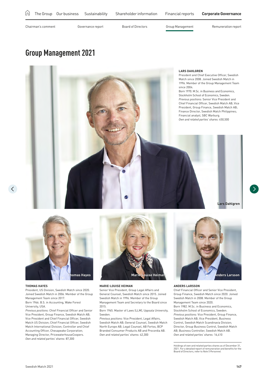## <span id="page-11-0"></span>**Group Management 2021**





### **THOMAS HAYES**

 $\langle$ 

President, US Division, Swedish Match since 2020. Joined Swedish Match in 2006. Member of the Group Management Team since 2017. Born 1966. B.S. in Accounting, Wake Forest

University, USA.

*Previous positions:* Chief Financial Officer and Senior Vice President, Group Finance, Swedish Match AB; Vice President and Chief Financial Officer, Swedish Match US Division; Chief Financial Officer, Swedish Match International Division; Controller and Chief Accounting Officer, Chesapeake Corporation; Managing Director, PricewaterhouseCoopers. *Own and related parties' shares:* 87,300



### **MARIE-LOUISE HEIMAN**

Senior Vice President, Group Legal Affairs and General Counsel, Swedish Match since 2015. Joined Swedish Match in 1996. Member of the Group Management Team and Secretary to the Board since 2015.

Born 1965, Master of Laws (LLM), Unnsala University Sweden.

*Previous positions:* Vice President, Legal Affairs, Swedish Match AB; General Counsel, Swedish Match North Europe AB; Legal Counsel, AB Fortos, BCP Branded Consumer Products AB and Procordia AB. *Own and related parties' shares:* 42,300



### **ANDERS LARSSON**

Chief Financial Officer and Senior Vice President, Group Finance, Swedish Match since 2020. Joined Swedish Match in 2008. Member of the Group Management Team since 2020. Born 1982. M.Sc. in Business and Economics, Stockholm School of Economics, Sweden. *Previous positions:* Vice President, Group Finance, Swedish Match AB; Vice President, Business Control, Swedish Match Scandinavia Division; Director, Group Business Control, Swedish Match AB; Business Controller, Swedish Match AB. *Own and related parties' shares:* 16,410

Holdings of own and related parties shares as of December 31, 2021. For a detailed report of remuneration and benefits for the Board of Directors, refer to *Note 5 Personnel.*